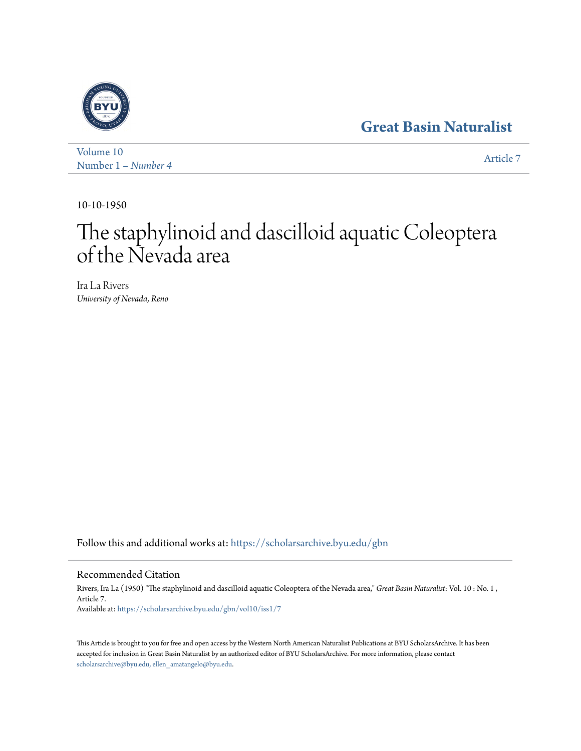# **[Great Basin Naturalist](https://scholarsarchive.byu.edu/gbn?utm_source=scholarsarchive.byu.edu%2Fgbn%2Fvol10%2Fiss1%2F7&utm_medium=PDF&utm_campaign=PDFCoverPages)**



[Volume 10](https://scholarsarchive.byu.edu/gbn/vol10?utm_source=scholarsarchive.byu.edu%2Fgbn%2Fvol10%2Fiss1%2F7&utm_medium=PDF&utm_campaign=PDFCoverPages) Number 1 *[– Number 4](https://scholarsarchive.byu.edu/gbn/vol10/iss1?utm_source=scholarsarchive.byu.edu%2Fgbn%2Fvol10%2Fiss1%2F7&utm_medium=PDF&utm_campaign=PDFCoverPages)* [Article 7](https://scholarsarchive.byu.edu/gbn/vol10/iss1/7?utm_source=scholarsarchive.byu.edu%2Fgbn%2Fvol10%2Fiss1%2F7&utm_medium=PDF&utm_campaign=PDFCoverPages)

10-10-1950

# The staphylinoid and dascilloid aquatic Coleoptera of the Nevada area

Ira La Rivers *University of Nevada, Reno*

Follow this and additional works at: [https://scholarsarchive.byu.edu/gbn](https://scholarsarchive.byu.edu/gbn?utm_source=scholarsarchive.byu.edu%2Fgbn%2Fvol10%2Fiss1%2F7&utm_medium=PDF&utm_campaign=PDFCoverPages)

## Recommended Citation

Rivers, Ira La (1950) "The staphylinoid and dascilloid aquatic Coleoptera of the Nevada area," *Great Basin Naturalist*: Vol. 10 : No. 1 , Article 7. Available at: [https://scholarsarchive.byu.edu/gbn/vol10/iss1/7](https://scholarsarchive.byu.edu/gbn/vol10/iss1/7?utm_source=scholarsarchive.byu.edu%2Fgbn%2Fvol10%2Fiss1%2F7&utm_medium=PDF&utm_campaign=PDFCoverPages)

This Article is brought to you for free and open access by the Western North American Naturalist Publications at BYU ScholarsArchive. It has been accepted for inclusion in Great Basin Naturalist by an authorized editor of BYU ScholarsArchive. For more information, please contact [scholarsarchive@byu.edu, ellen\\_amatangelo@byu.edu.](mailto:scholarsarchive@byu.edu,%20ellen_amatangelo@byu.edu)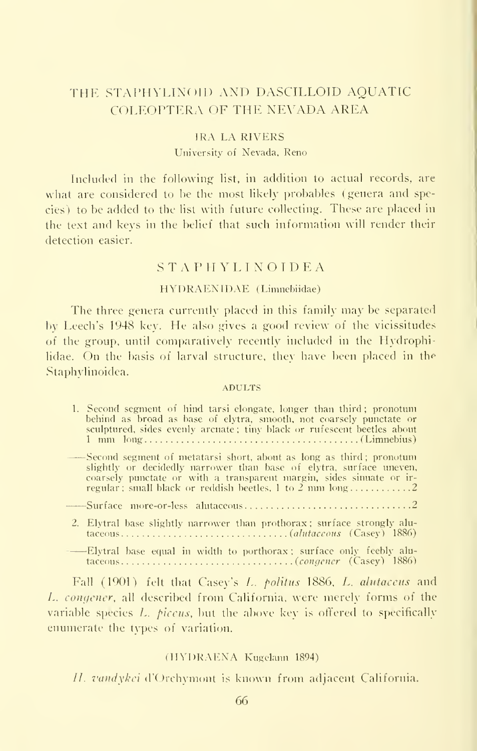## THE STAPHYLINOID AND DASCILLOID AQUATIC COLEOPTERA OF THE NEVADA AREA

#### IRA LA RIVERS University of Nevada, Reno

Included in the following list, in addition to actual records, are what are considered to be the most likely probables (genera and species ) to be added to the list with future collecting. These are placed in the text and keys in the belief that such information will render their detection easier.

#### STAPHYLINOIDEA

#### HYDRAENIDAE ( Limnehiidae)

The three genera currently placed in this family may be separated by Leech's 1948 key. He also gives <sup>a</sup> good review of the vicissitudes of the group, until comparatively recently included in the Hydrophilidae. On the basis of larval structure, they have been placed in the Staphylinoidea.

#### ADULTS

| 1. Second segment of hind tarsi elongate, longer than third; pronotum<br>behind as broad as base of elytra, smooth, not coarsely punctate or<br>sculptured, sides evenly arcuate; tiny black or rufescent beetles about                                                         |
|---------------------------------------------------------------------------------------------------------------------------------------------------------------------------------------------------------------------------------------------------------------------------------|
| -Second segment of metatarsi short, about as long as third; pronotum<br>slightly or decidedly narrower than base of elytra, surface uneven,<br>coarsely punctate or with a transparent margin, sides simuate or ir-<br>regular; small black or reddish beetles, 1 to 2 mm long2 |
|                                                                                                                                                                                                                                                                                 |
| 2. Elytral base slightly narrower than prothorax; surface strongly alu-                                                                                                                                                                                                         |
| $ \mathbb{F}$ extend these equal in width to porthorax: surface only feebly alu-                                                                                                                                                                                                |

ase equal in width to po<mark>rthorax</mark> taceous (congener (Casey) 1886)

Fall (1901) felt that Casey's L. politus 1886, L. alutaceus and L. congener, all described from California, were merely forms of the variable species  $L$ . *piceus*, but the above key is offered to specifically enumerate the types of variation.

#### (HYDRAENA Kugelann 1894).

//. vandykei d'Orchymont is known from adjacent California.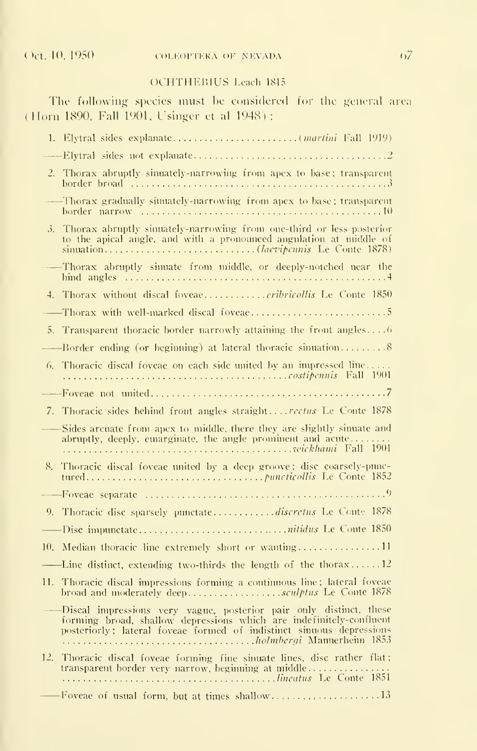#### OCHTHEBIUS Leach <sup>1815</sup>

The following species must be considered for the general area (Horn 1890. Fall 1901, Usinger et al 1948) :

| 2. Thorax abruptly sinuately-narrowing from apex to base; transparent                                                                                                                                                  |
|------------------------------------------------------------------------------------------------------------------------------------------------------------------------------------------------------------------------|
| -Thorax gradually simuately-narrowing from apex to base; transparent<br>$\overline{\phantom{a}}$                                                                                                                       |
| 3. Thorax abruptly sinuately-narrowing from one-third or less posterior<br>to the apical angle, and with a pronounced angulation at middle of                                                                          |
| Thorax abruptly sinuate from middle, or deeply-notched near the                                                                                                                                                        |
| 4. Thorax without discal foveaecribricollis Le Conte 1850                                                                                                                                                              |
|                                                                                                                                                                                                                        |
| 5. Transparent thoracic border narrowly attaining the front angles6                                                                                                                                                    |
|                                                                                                                                                                                                                        |
| 6. Thoracic discal foveae on each side united by an impressed line                                                                                                                                                     |
|                                                                                                                                                                                                                        |
| 7. Thoracic sides behind front angles straightrectus Le Conte 1878                                                                                                                                                     |
| Sides arcuate from apex to middle, there they are slightly sinuate and<br>abruptly, deeply, emarginate, the angle prominent and acute                                                                                  |
| 8. Thoracic discal foveae united by a deep groove; disc coarsely-punc-                                                                                                                                                 |
|                                                                                                                                                                                                                        |
| 9. Thoracic disc sparsely punctatediscretus Le Conte 1878                                                                                                                                                              |
|                                                                                                                                                                                                                        |
| 10. Median thoracic line extremely short or wanting11                                                                                                                                                                  |
| -----Line distinct, extending two-thirds the length of the thorax12                                                                                                                                                    |
| 11. Thoracic discal impressions forming a continuous line; lateral foveae<br>broad and moderately deep <i>sculptus</i> Le Conte 1878                                                                                   |
| -----Discal impressions very vague, posterior pair only distinct, these<br>forming broad, shallow depressions which are indefinitely-confluent<br>posteriorly; lateral foveae formed of indistinct sinuous depressions |
| Thoracic discal foveae forming fine sinuate lines, disc rather flat;<br>12.<br>transparent border very narrow, beginning at middle                                                                                     |
| -Foveae of usual form, but at times shallow13                                                                                                                                                                          |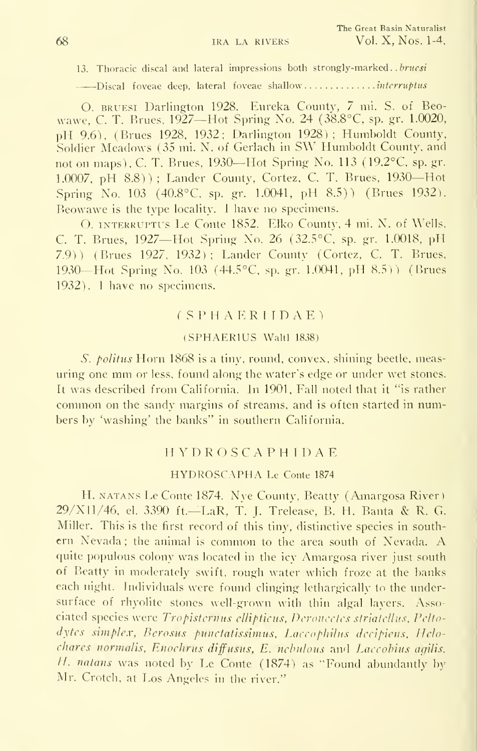13. Thoracic discal and lateral impressions both strongly-marked. . bruesi

——'Discal foveae deep, lateral foveae shallow interruptus

O. bruesi Darlington 1928. Eureka County, 7 mi. S. of Beowawe. C. T. Brues, 1927—Hot Spring No. 24 (38.8°C, sp. gr. 1.0020, pH 9.6), (Brues 1928, 1932; Darlington 1928); Humboldt County, Soldier Meadows (35 mi. N. of Gerlach in SW Humboldt County, and not on maps), C. T. Brues, 1930—Hot Spring No. 113 (19.2°C, sp. gr. 1.0007, pH 8.8)) ; Lander County, Cortez, C. T. Brues, 1930—Hot Spring No. <sup>103</sup> (40.8°C. sp. gr. 1.0041, pH 8.5)) (Brues 1932). Beowawe is the type locality. <sup>I</sup> have no specimens.

O. interruptus Le Conte 1852. Elko County, 4 mi. N. of Wells, C. T. Brues, 1927—Hot Spring No. 26 (32.5°C, sp. gr. 1.0018. pH 7.9)) (Brues 1927, 1932); Lander County (Cortez. C. T. Brues, 1930—Hot Spring No. <sup>103</sup> (44.5°C, sp. gr. 1.0041, pH 8.5)) (Brues 1932). <sup>I</sup> have no specimens.

#### (SPHAERIIDAE)

#### (SPHAERIUS Waltl 1838)

S. *politus* Horn 1868 is a tiny, round, convex, shining beetle, measuring one mm or less, found along the water's edge or under wet stones. It was described from California. In 1901, Fall noted that it "is rather common on the sandy margins of streams, and is often started in numbers by 'washing' the banks" in southern California.

#### HYDROSCAPHIDAE

#### HYDROSCAPHA Le Conte <sup>1874</sup>

H. natans Le Conte 1874. Nye County, Beatty (Amargosa River ) 29/XII/46, el. 3390 ft.—LaR, f. J. Trelease, B. H. Banta & R. G. Miller. This is the first record of this tiny, distinctive species in southern Nevada ; the animal is common to the area south of Nevada. A quite populous colony was located in the icy Amargosa river just south of Beatty in moderately swift, rough water which froze at the banks each night. Individuals were found clinging lethargically to the undersurface of rhyolite stones well-grown with thin algal layers. Associated species were Tropisternus ellipticus, Deronectes striatelhis, Pelto dytes simplex, Berosus punctatissimus, Laccophilus decipiens, Helo chares normalis, Enochrus diffusus, E. nebulous and Laccobius agilis. H. natans was noted by Le Conte  $(1874)$  as "Found abundantly by Mr. Crotch, at Los Angeles in the river."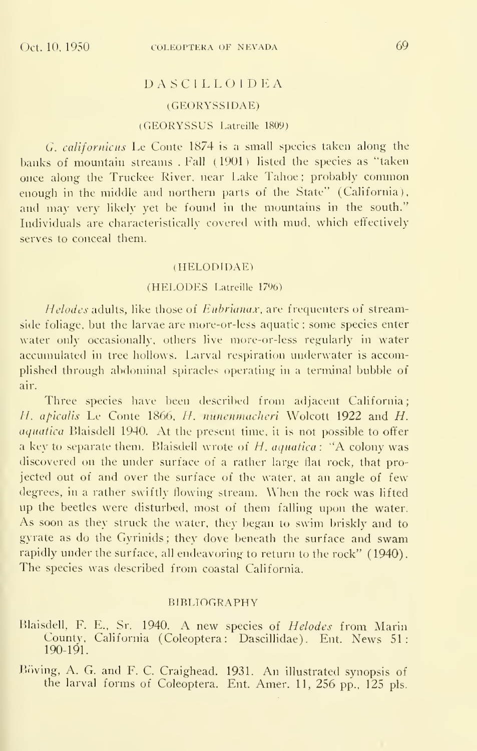# DASCILLOIDEA

## (GEORYSSIDAE)

#### (GEORYSSUS Latreille 1809)

G. californicus Le Conte 1874 is a small species taken along the banks of mountain streams .Fall (1901) listed the species as "taken once along the Truckee River, near Lake Tahoe ; probably common enough in the middle and northern parts of the State" (California), and may very likely yet be found in the mountains in the south." Individuals are characteristically covered with mud, which effectively serves to conceal them.

#### (HELODTDAE)

#### (HELODES Latreille 1796)

Helodes adults, like those of Eubrianax, are frequenters of streamside foliage, but the larvae are more-or-less aquatic ; some species enter water only occasionally, others live more-or-less regularly in water accumulated in tree hollows. Larval respiration underwater is accomplished through abdominal spiracles operating in a terminal bubble of air.

Three species have been described from adjacent California; H. apicalis Le Conte 1866, H. nunenmacheri Wolcott 1922 and H. aquatica Blaisdell 1940. At the present time, it is not possible to offer a key to separate them. Blaisdell wrote of  $H$ , aquatica: "A colony was discovered on the under surface of a rather large flat rock, that projected out of and over the surface of the water, at an angle of few degrees, in <sup>a</sup> rather swiftly flowing stream. When the rock was lifted up the beetles were disturbed, most of them falling upon the water. As soon as they struck the water, they began to swim briskly and to gyrate as do the Gyrinids ; they dove beneath the surface and swam rapidly under the surface, all endeavoring to return to the rock" (1940). The species was described from coastal California.

#### BIBLIOGRAPHY

Blaisdell, F. E., Sr. 1940. A new species of Helodes from Marin County, California (Coleoptera: Dascillidae). Ent. News 51: 190-191.

Boving, A. G. and F. C. Craighead. 1931. An illustrated synopsis of the larval forms of Coleoptera. Ent. Amer. 11, 256 pp., 125 pis.